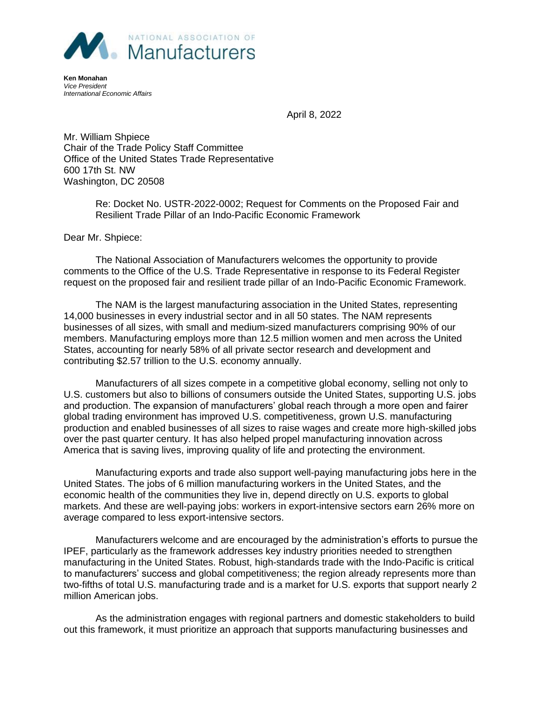

**Ken Monahan** *Vice President International Economic Affairs*

April 8, 2022

Mr. William Shpiece Chair of the Trade Policy Staff Committee Office of the United States Trade Representative 600 17th St. NW Washington, DC 20508

> Re: Docket No. USTR-2022-0002; Request for Comments on the Proposed Fair and Resilient Trade Pillar of an Indo-Pacific Economic Framework

Dear Mr. Shpiece:

The National Association of Manufacturers welcomes the opportunity to provide comments to the Office of the U.S. Trade Representative in response to its Federal Register request on the proposed fair and resilient trade pillar of an Indo-Pacific Economic Framework.

The NAM is the largest manufacturing association in the United States, representing 14,000 businesses in every industrial sector and in all 50 states. The NAM represents businesses of all sizes, with small and medium-sized manufacturers comprising 90% of our members. Manufacturing employs more than 12.5 million women and men across the United States, accounting for nearly 58% of all private sector research and development and contributing \$2.57 trillion to the U.S. economy annually.

Manufacturers of all sizes compete in a competitive global economy, selling not only to U.S. customers but also to billions of consumers outside the United States, supporting U.S. jobs and production. The expansion of manufacturers' global reach through a more open and fairer global trading environment has improved U.S. competitiveness, grown U.S. manufacturing production and enabled businesses of all sizes to raise wages and create more high-skilled jobs over the past quarter century. It has also helped propel manufacturing innovation across America that is saving lives, improving quality of life and protecting the environment.

Manufacturing exports and trade also support well-paying manufacturing jobs here in the United States. The jobs of 6 million manufacturing workers in the United States, and the economic health of the communities they live in, depend directly on U.S. exports to global markets. And these are well-paying jobs: workers in export-intensive sectors earn 26% more on average compared to less export-intensive sectors.

Manufacturers welcome and are encouraged by the administration's efforts to pursue the IPEF, particularly as the framework addresses key industry priorities needed to strengthen manufacturing in the United States. Robust, high-standards trade with the Indo-Pacific is critical to manufacturers' success and global competitiveness; the region already represents more than two-fifths of total U.S. manufacturing trade and is a market for U.S. exports that support nearly 2 million American jobs.

As the administration engages with regional partners and domestic stakeholders to build out this framework, it must prioritize an approach that supports manufacturing businesses and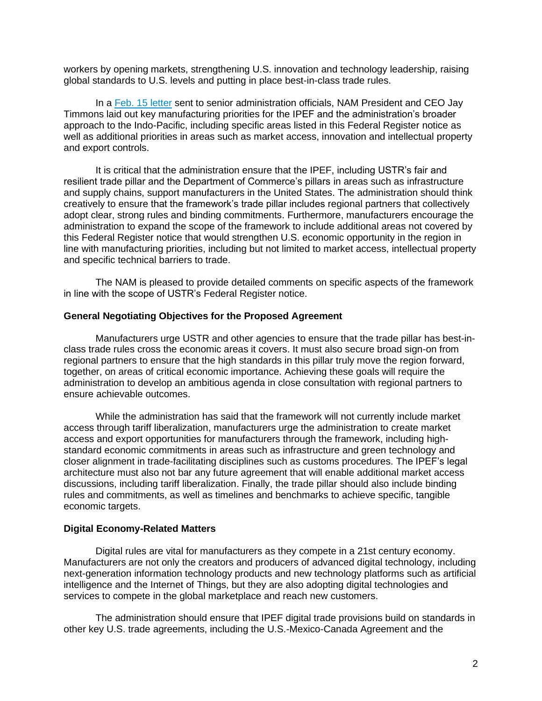workers by opening markets, strengthening U.S. innovation and technology leadership, raising global standards to U.S. levels and putting in place best-in-class trade rules.

In a [Feb. 15 letter](https://documents.nam.org/IEA/NAM%20Jay%20Timmons%20Letter%20on%20Indo-Pacific%20Trade_02152022.pdf) sent to senior administration officials, NAM President and CEO Jay Timmons laid out key manufacturing priorities for the IPEF and the administration's broader approach to the Indo-Pacific, including specific areas listed in this Federal Register notice as well as additional priorities in areas such as market access, innovation and intellectual property and export controls.

It is critical that the administration ensure that the IPEF, including USTR's fair and resilient trade pillar and the Department of Commerce's pillars in areas such as infrastructure and supply chains, support manufacturers in the United States. The administration should think creatively to ensure that the framework's trade pillar includes regional partners that collectively adopt clear, strong rules and binding commitments. Furthermore, manufacturers encourage the administration to expand the scope of the framework to include additional areas not covered by this Federal Register notice that would strengthen U.S. economic opportunity in the region in line with manufacturing priorities, including but not limited to market access, intellectual property and specific technical barriers to trade.

The NAM is pleased to provide detailed comments on specific aspects of the framework in line with the scope of USTR's Federal Register notice.

### **General Negotiating Objectives for the Proposed Agreement**

Manufacturers urge USTR and other agencies to ensure that the trade pillar has best-inclass trade rules cross the economic areas it covers. It must also secure broad sign-on from regional partners to ensure that the high standards in this pillar truly move the region forward, together, on areas of critical economic importance. Achieving these goals will require the administration to develop an ambitious agenda in close consultation with regional partners to ensure achievable outcomes.

While the administration has said that the framework will not currently include market access through tariff liberalization, manufacturers urge the administration to create market access and export opportunities for manufacturers through the framework, including highstandard economic commitments in areas such as infrastructure and green technology and closer alignment in trade-facilitating disciplines such as customs procedures. The IPEF's legal architecture must also not bar any future agreement that will enable additional market access discussions, including tariff liberalization. Finally, the trade pillar should also include binding rules and commitments, as well as timelines and benchmarks to achieve specific, tangible economic targets.

### **Digital Economy-Related Matters**

Digital rules are vital for manufacturers as they compete in a 21st century economy. Manufacturers are not only the creators and producers of advanced digital technology, including next-generation information technology products and new technology platforms such as artificial intelligence and the Internet of Things, but they are also adopting digital technologies and services to compete in the global marketplace and reach new customers.

The administration should ensure that IPEF digital trade provisions build on standards in other key U.S. trade agreements, including the U.S.-Mexico-Canada Agreement and the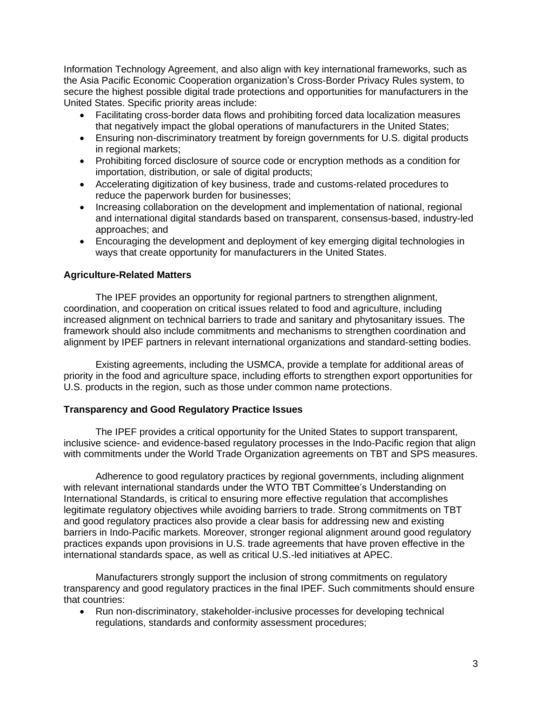Information Technology Agreement, and also align with key international frameworks, such as the Asia Pacific Economic Cooperation organization's Cross-Border Privacy Rules system, to secure the highest possible digital trade protections and opportunities for manufacturers in the United States. Specific priority areas include:

- Facilitating cross-border data flows and prohibiting forced data localization measures that negatively impact the global operations of manufacturers in the United States;
- Ensuring non-discriminatory treatment by foreign governments for U.S. digital products in regional markets;
- Prohibiting forced disclosure of source code or encryption methods as a condition for importation, distribution, or sale of digital products;
- Accelerating digitization of key business, trade and customs-related procedures to reduce the paperwork burden for businesses;
- Increasing collaboration on the development and implementation of national, regional and international digital standards based on transparent, consensus-based, industry-led approaches; and
- Encouraging the development and deployment of key emerging digital technologies in ways that create opportunity for manufacturers in the United States.

# **Agriculture-Related Matters**

The IPEF provides an opportunity for regional partners to strengthen alignment, coordination, and cooperation on critical issues related to food and agriculture, including increased alignment on technical barriers to trade and sanitary and phytosanitary issues. The framework should also include commitments and mechanisms to strengthen coordination and alignment by IPEF partners in relevant international organizations and standard-setting bodies.

Existing agreements, including the USMCA, provide a template for additional areas of priority in the food and agriculture space, including efforts to strengthen export opportunities for U.S. products in the region, such as those under common name protections.

# **Transparency and Good Regulatory Practice Issues**

The IPEF provides a critical opportunity for the United States to support transparent, inclusive science- and evidence-based regulatory processes in the Indo-Pacific region that align with commitments under the World Trade Organization agreements on TBT and SPS measures.

Adherence to good regulatory practices by regional governments, including alignment with relevant international standards under the WTO TBT Committee's Understanding on International Standards, is critical to ensuring more effective regulation that accomplishes legitimate regulatory objectives while avoiding barriers to trade. Strong commitments on TBT and good regulatory practices also provide a clear basis for addressing new and existing barriers in Indo-Pacific markets. Moreover, stronger regional alignment around good regulatory practices expands upon provisions in U.S. trade agreements that have proven effective in the international standards space, as well as critical U.S.-led initiatives at APEC.

Manufacturers strongly support the inclusion of strong commitments on regulatory transparency and good regulatory practices in the final IPEF. Such commitments should ensure that countries:

• Run non-discriminatory, stakeholder-inclusive processes for developing technical regulations, standards and conformity assessment procedures;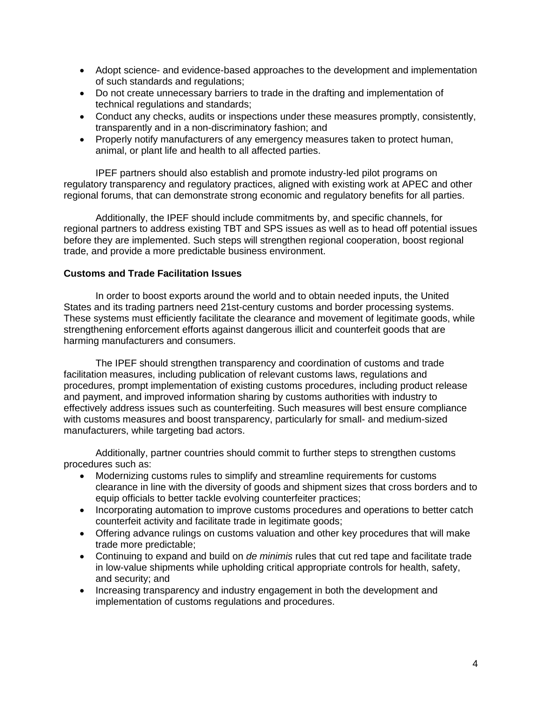- Adopt science- and evidence-based approaches to the development and implementation of such standards and regulations;
- Do not create unnecessary barriers to trade in the drafting and implementation of technical regulations and standards;
- Conduct any checks, audits or inspections under these measures promptly, consistently, transparently and in a non-discriminatory fashion; and
- Properly notify manufacturers of any emergency measures taken to protect human, animal, or plant life and health to all affected parties.

IPEF partners should also establish and promote industry-led pilot programs on regulatory transparency and regulatory practices, aligned with existing work at APEC and other regional forums, that can demonstrate strong economic and regulatory benefits for all parties.

Additionally, the IPEF should include commitments by, and specific channels, for regional partners to address existing TBT and SPS issues as well as to head off potential issues before they are implemented. Such steps will strengthen regional cooperation, boost regional trade, and provide a more predictable business environment.

# **Customs and Trade Facilitation Issues**

In order to boost exports around the world and to obtain needed inputs, the United States and its trading partners need 21st-century customs and border processing systems. These systems must efficiently facilitate the clearance and movement of legitimate goods, while strengthening enforcement efforts against dangerous illicit and counterfeit goods that are harming manufacturers and consumers.

The IPEF should strengthen transparency and coordination of customs and trade facilitation measures, including publication of relevant customs laws, regulations and procedures, prompt implementation of existing customs procedures, including product release and payment, and improved information sharing by customs authorities with industry to effectively address issues such as counterfeiting. Such measures will best ensure compliance with customs measures and boost transparency, particularly for small- and medium-sized manufacturers, while targeting bad actors.

Additionally, partner countries should commit to further steps to strengthen customs procedures such as:

- Modernizing customs rules to simplify and streamline requirements for customs clearance in line with the diversity of goods and shipment sizes that cross borders and to equip officials to better tackle evolving counterfeiter practices;
- Incorporating automation to improve customs procedures and operations to better catch counterfeit activity and facilitate trade in legitimate goods;
- Offering advance rulings on customs valuation and other key procedures that will make trade more predictable;
- Continuing to expand and build on *de minimis* rules that cut red tape and facilitate trade in low-value shipments while upholding critical appropriate controls for health, safety, and security; and
- Increasing transparency and industry engagement in both the development and implementation of customs regulations and procedures.